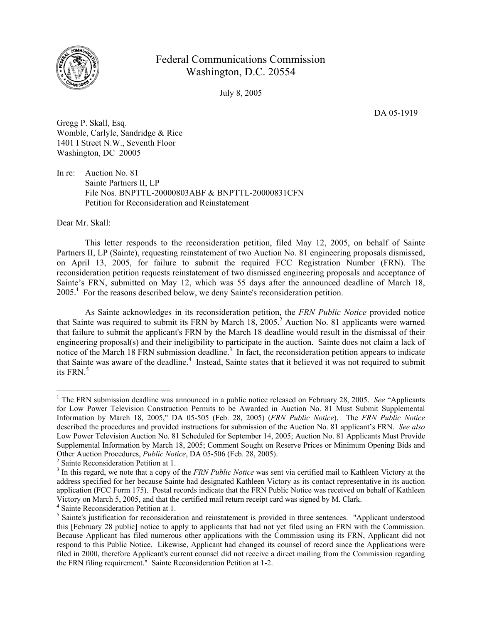

## Federal Communications Commission Washington, D.C. 20554

July 8, 2005

DA 05-1919

Gregg P. Skall, Esq. Womble, Carlyle, Sandridge & Rice 1401 I Street N.W., Seventh Floor Washington, DC 20005

In re: Auction No. 81 Sainte Partners II, LP File Nos. BNPTTL-20000803ABF & BNPTTL-20000831CFN Petition for Reconsideration and Reinstatement

Dear Mr. Skall:

 $\overline{a}$ 

This letter responds to the reconsideration petition, filed May 12, 2005, on behalf of Sainte Partners II, LP (Sainte), requesting reinstatement of two Auction No. 81 engineering proposals dismissed, on April 13, 2005, for failure to submit the required FCC Registration Number (FRN). The reconsideration petition requests reinstatement of two dismissed engineering proposals and acceptance of Sainte's FRN, submitted on May 12, which was 55 days after the announced deadline of March 18, 2005.<sup>1</sup> For the reasons described below, we deny Sainte's reconsideration petition.

As Sainte acknowledges in its reconsideration petition, the *FRN Public Notice* provided notice that Sainte was required to submit its FRN by March  $18$ ,  $2005$ .<sup>2</sup> Auction No. 81 applicants were warned that failure to submit the applicant's FRN by the March 18 deadline would result in the dismissal of their engineering proposal(s) and their ineligibility to participate in the auction. Sainte does not claim a lack of notice of the March 18 FRN submission deadline.<sup>3</sup> In fact, the reconsideration petition appears to indicate that Sainte was aware of the deadline.<sup>4</sup> Instead, Sainte states that it believed it was not required to submit its FRN. $5$ 

<sup>&</sup>lt;sup>1</sup> The FRN submission deadline was announced in a public notice released on February 28, 2005. *See* "Applicants" for Low Power Television Construction Permits to be Awarded in Auction No. 81 Must Submit Supplemental Information by March 18, 2005," DA 05-505 (Feb. 28, 2005) (*FRN Public Notice*). The *FRN Public Notice* described the procedures and provided instructions for submission of the Auction No. 81 applicant's FRN. *See also* Low Power Television Auction No. 81 Scheduled for September 14, 2005; Auction No. 81 Applicants Must Provide Supplemental Information by March 18, 2005; Comment Sought on Reserve Prices or Minimum Opening Bids and Other Auction Procedures, *Public Notice*, DA 05-506 (Feb. 28, 2005).

<sup>&</sup>lt;sup>2</sup> Sainte Reconsideration Petition at 1.

<sup>&</sup>lt;sup>3</sup> In this regard, we note that a copy of the *FRN Public Notice* was sent via certified mail to Kathleen Victory at the address specified for her because Sainte had designated Kathleen Victory as its contact representative in its auction application (FCC Form 175). Postal records indicate that the FRN Public Notice was received on behalf of Kathleen Victory on March 5, 2005, and that the certified mail return receipt card was signed by M. Clark. 4

<sup>&</sup>lt;sup>4</sup> Sainte Reconsideration Petition at 1.

<sup>&</sup>lt;sup>5</sup> Sainte's justification for reconsideration and reinstatement is provided in three sentences. "Applicant understood this [February 28 public] notice to apply to applicants that had not yet filed using an FRN with the Commission. Because Applicant has filed numerous other applications with the Commission using its FRN, Applicant did not respond to this Public Notice. Likewise, Applicant had changed its counsel of record since the Applications were filed in 2000, therefore Applicant's current counsel did not receive a direct mailing from the Commission regarding the FRN filing requirement." Sainte Reconsideration Petition at 1-2.